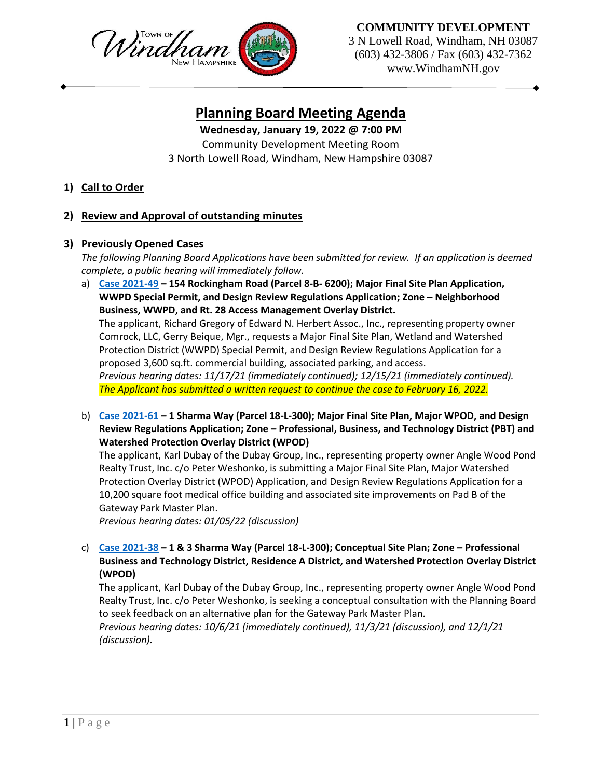

**COMMUNITY DEVELOPMENT**

3 N Lowell Road, Windham, NH 03087 (603) 432-3806 / Fax (603) 432-7362 www.WindhamNH.gov

## **Planning Board Meeting Agenda**

**Wednesday, January 19, 2022 @ 7:00 PM**

Community Development Meeting Room 3 North Lowell Road, Windham, New Hampshire 03087

**1) Call to Order**

## **2) Review and Approval of outstanding minutes**

## **3) Previously Opened Cases**

*The following Planning Board Applications have been submitted for review. If an application is deemed complete, a public hearing will immediately follow.*

a) **[Case 2021-49](https://www.windhamnh.gov/DocumentCenter/Index/777) – 154 Rockingham Road (Parcel 8-B- 6200); Major Final Site Plan Application, WWPD Special Permit, and Design Review Regulations Application; Zone – Neighborhood Business, WWPD, and Rt. 28 Access Management Overlay District.**  The applicant, Richard Gregory of Edward N. Herbert Assoc., Inc., representing property owner Comrock, LLC, Gerry Beique, Mgr., requests a Major Final Site Plan, Wetland and Watershed Protection District (WWPD) Special Permit, and Design Review Regulations Application for a proposed 3,600 sq.ft. commercial building, associated parking, and access. *Previous hearing dates: 11/17/21 (immediately continued); 12/15/21 (immediately continued).*

*The Applicant has submitted a written request to continue the case to February 16, 2022.*

b) **[Case 2021-61](https://www.windhamnh.gov/DocumentCenter/Index/824) – 1 Sharma Way (Parcel 18-L-300); Major Final Site Plan, Major WPOD, and Design Review Regulations Application; Zone – Professional, Business, and Technology District (PBT) and Watershed Protection Overlay District (WPOD)** 

The applicant, Karl Dubay of the Dubay Group, Inc., representing property owner Angle Wood Pond Realty Trust, Inc. c/o Peter Weshonko, is submitting a Major Final Site Plan, Major Watershed Protection Overlay District (WPOD) Application, and Design Review Regulations Application for a 10,200 square foot medical office building and associated site improvements on Pad B of the Gateway Park Master Plan.

*Previous hearing dates: 01/05/22 (discussion)*

c) **[Case 2021-38](https://www.windhamnh.gov/DocumentCenter/Index/749) – 1 & 3 Sharma Way (Parcel 18-L-300); Conceptual Site Plan; Zone – Professional Business and Technology District, Residence A District, and Watershed Protection Overlay District (WPOD)**

The applicant, Karl Dubay of the Dubay Group, Inc., representing property owner Angle Wood Pond Realty Trust, Inc. c/o Peter Weshonko, is seeking a conceptual consultation with the Planning Board to seek feedback on an alternative plan for the Gateway Park Master Plan.

*Previous hearing dates: 10/6/21 (immediately continued), 11/3/21 (discussion), and 12/1/21 (discussion).*